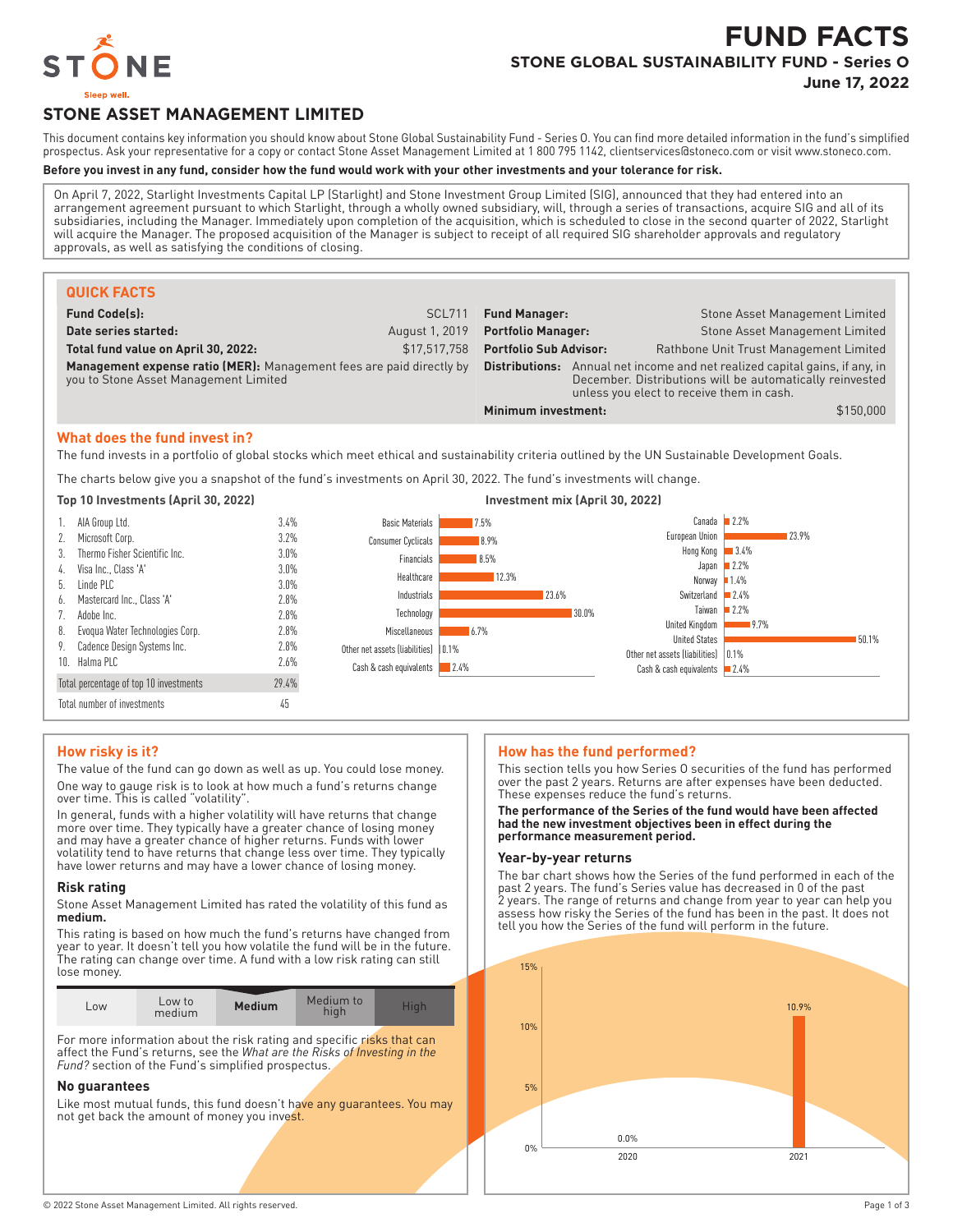

# **FUND FACTS STONE GLOBAL SUSTAINABILITY FUND - Series O**

**June 17, 2022**

## **STONE ASSET MANAGEMENT LIMITED**

This document contains key information you should know about Stone Global Sustainability Fund - Series O. You can find more detailed information in the fund's simplified prospectus. Ask your representative for a copy or contact Stone Asset Management Limited at 1 800 795 1142, clientservices@stoneco.com or visit www.stoneco.com.

#### **Before you invest in any fund, consider how the fund would work with your other investments and your tolerance for risk.**

On April 7, 2022, Starlight Investments Capital LP (Starlight) and Stone Investment Group Limited (SIG), announced that they had entered into an arrangement agreement pursuant to which Starlight, through a wholly owned subsidiary, will, through a series of transactions, acquire SIG and all of its subsidiaries, including the Manager. Immediately upon completion of the acquisition, which is scheduled to close in the second quarter of 2022, Starlight will acquire the Manager. The proposed acquisition of the Manager is subject to receipt of all required SIG shareholder approvals and regulatory approvals, as well as satisfying the conditions of closing.

| <b>QUICK FACTS</b>                                                                                            |                |                                                                                                                                                                                             |  |                                        |
|---------------------------------------------------------------------------------------------------------------|----------------|---------------------------------------------------------------------------------------------------------------------------------------------------------------------------------------------|--|----------------------------------------|
| <b>Fund Code(s):</b>                                                                                          | <b>SCL711</b>  | <b>Fund Manager:</b>                                                                                                                                                                        |  | Stone Asset Management Limited         |
| Date series started:                                                                                          | August 1, 2019 | <b>Portfolio Manager:</b>                                                                                                                                                                   |  | Stone Asset Management Limited         |
| Total fund value on April 30, 2022:                                                                           | \$17.517.758   | <b>Portfolio Sub Advisor:</b>                                                                                                                                                               |  | Rathbone Unit Trust Management Limited |
| Management expense ratio (MER): Management fees are paid directly by<br>you to Stone Asset Management Limited |                | <b>Distributions:</b> Annual net income and net realized capital gains, if any, in<br>December. Distributions will be automatically reinvested<br>unless you elect to receive them in cash. |  |                                        |
|                                                                                                               |                | Minimum investment:                                                                                                                                                                         |  | \$150,000                              |

#### **What does the fund invest in?**

The fund invests in a portfolio of global stocks which meet ethical and sustainability criteria outlined by the UN Sustainable Development Goals.

The charts below give you a snapshot of the fund's investments on April 30, 2022. The fund's investments will change.



#### **How risky is it?**

The value of the fund can go down as well as up. You could lose money. One way to gauge risk is to look at how much a fund's returns change over time. This is called "volatility".

In general, funds with a higher volatility will have returns that change more over time. They typically have a greater chance of losing money and may have a greater chance of higher returns. Funds with lower volatility tend to have returns that change less over time. They typically have lower returns and may have a lower chance of losing money.

#### **Risk rating**

Stone Asset Management Limited has rated the volatility of this fund as **medium.**

This rating is based on how much the fund's returns have changed from year to year. It doesn't tell you how volatile the fund will be in the future. The rating can change over time. A fund with a low risk rating can still lose money.

| ∟0W | Low to<br>medium | <b>Medium</b> | Medium to<br>high | Hiah |
|-----|------------------|---------------|-------------------|------|
|     |                  |               |                   |      |

For more information about the risk rating and specific risks that can affect the Fund's returns, see the *What are the Risks of Investing in the Fund?* section of the Fund's simplified prospectus.

#### **No guarantees**

Like most mutual funds, this fund doesn't have any guarantees. You may not get back the amount of money you invest.

#### **How has the fund performed?**

This section tells you how Series O securities of the fund has performed over the past 2 years. Returns are after expenses have been deducted. These expenses reduce the fund's returns.

#### **The performance of the Series of the fund would have been affected had the new investment objectives been in effect during the performance measurement period.**

#### **Year-by-year returns**

The bar chart shows how the Series of the fund performed in each of the past 2 years. The fund's Series value has decreased in 0 of the past 2 years. The range of returns and change from year to year can help you assess how risky the Series of the fund has been in the past. It does not tell you how the Series of the fund will perform in the future.

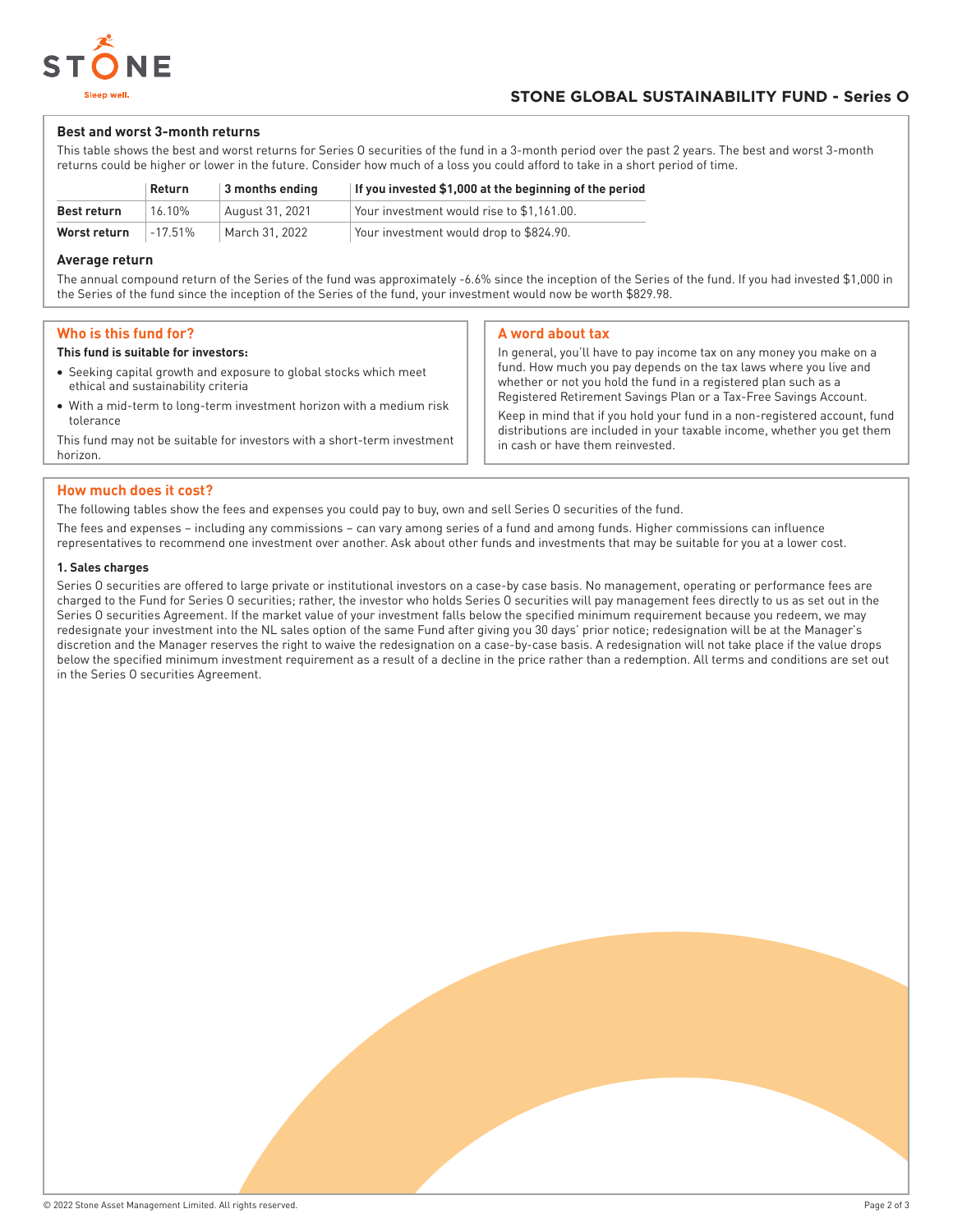

#### **Best and worst 3-month returns**

This table shows the best and worst returns for Series O securities of the fund in a 3-month period over the past 2 years. The best and worst 3-month returns could be higher or lower in the future. Consider how much of a loss you could afford to take in a short period of time.

|              | Return  | $\vert$ 3 months ending | If you invested \$1,000 at the beginning of the period |
|--------------|---------|-------------------------|--------------------------------------------------------|
| Best return  | 16.10%  | August 31, 2021         | Your investment would rise to \$1.161.00.              |
| Worst return | -17.51% | March 31, 2022          | Your investment would drop to \$824.90.                |

#### **Average return**

The annual compound return of the Series of the fund was approximately -6.6% since the inception of the Series of the fund. If you had invested \$1,000 in the Series of the fund since the inception of the Series of the fund, your investment would now be worth \$829.98.

#### **Who is this fund for?**

#### **This fund is suitable for investors:**

- Seeking capital growth and exposure to global stocks which meet ethical and sustainability criteria
- With a mid-term to long-term investment horizon with a medium risk tolerance

This fund may not be suitable for investors with a short-term investment horizon.

#### **A word about tax**

In general, you'll have to pay income tax on any money you make on a fund. How much you pay depends on the tax laws where you live and whether or not you hold the fund in a registered plan such as a Registered Retirement Savings Plan or a Tax-Free Savings Account.

Keep in mind that if you hold your fund in a non-registered account, fund distributions are included in your taxable income, whether you get them in cash or have them reinvested.

#### **How much does it cost?**

The following tables show the fees and expenses you could pay to buy, own and sell Series O securities of the fund.

The fees and expenses – including any commissions – can vary among series of a fund and among funds. Higher commissions can influence representatives to recommend one investment over another. Ask about other funds and investments that may be suitable for you at a lower cost.

#### **1. Sales charges**

Series O securities are offered to large private or institutional investors on a case-by case basis. No management, operating or performance fees are charged to the Fund for Series O securities; rather, the investor who holds Series O securities will pay management fees directly to us as set out in the Series O securities Agreement. If the market value of your investment falls below the specified minimum requirement because you redeem, we may redesignate your investment into the NL sales option of the same Fund after giving you 30 days' prior notice; redesignation will be at the Manager's discretion and the Manager reserves the right to waive the redesignation on a case-by-case basis. A redesignation will not take place if the value drops below the specified minimum investment requirement as a result of a decline in the price rather than a redemption. All terms and conditions are set out in the Series O securities Agreement.